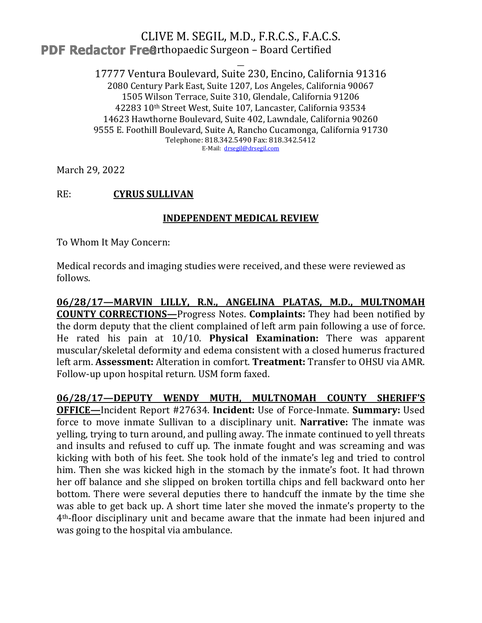## CLIVE M. SEGIL, M.D., F.R.C.S., F.A.C.S. **PDF Redactor Freerthopaedic Surgeon - Board Certified**

17777 Ventura Boulevard, Suite 230, Encino, California 91316 2080 Century Park East, Suite 1207, Los Angeles, California 90067 1505 Wilson Terrace, Suite 310, Glendale, California 91206 42283 10th Street West, Suite 107, Lancaster, California 93534 14623 Hawthorne Boulevard, Suite 402, Lawndale, California 90260 9555 E. Foothill Boulevard, Suite A, Rancho Cucamonga, California 91730 Telephone: 818.342.5490 Fax: 818.342.5412 E-Mail: drsegil@drsegil.com

March 29, 2022

#### $RE:$ **CYRUS SULLIVAN**

### **INDEPENDENT MEDICAL REVIEW**

To Whom It May Concern:

Medical records and imaging studies were received, and these were reviewed as follows.

06/28/17-MARVIN LILLY, R.N., ANGELINA PLATAS, M.D., MULTNOMAH **COUNTY CORRECTIONS-Progress Notes. Complaints:** They had been notified by the dorm deputy that the client complained of left arm pain following a use of force. He rated his pain at 10/10. Physical Examination: There was apparent muscular/skeletal deformity and edema consistent with a closed humerus fractured left arm. Assessment: Alteration in comfort. Treatment: Transfer to OHSU via AMR. Follow-up upon hospital return. USM form faxed.

06/28/17-DEPUTY WENDY MUTH, MULTNOMAH COUNTY SHERIFF'S **OFFICE-Incident Report #27634. Incident: Use of Force-Inmate. Summary: Used** force to move inmate Sullivan to a disciplinary unit. Narrative: The inmate was velling, trying to turn around, and pulling away. The inmate continued to yell threats and insults and refused to cuff up. The inmate fought and was screaming and was kicking with both of his feet. She took hold of the inmate's leg and tried to control him. Then she was kicked high in the stomach by the inmate's foot. It had thrown her off balance and she slipped on broken tortilla chips and fell backward onto her bottom. There were several deputies there to handcuff the inmate by the time she was able to get back up. A short time later she moved the inmate's property to the 4<sup>th</sup>-floor disciplinary unit and became aware that the inmate had been injured and was going to the hospital via ambulance.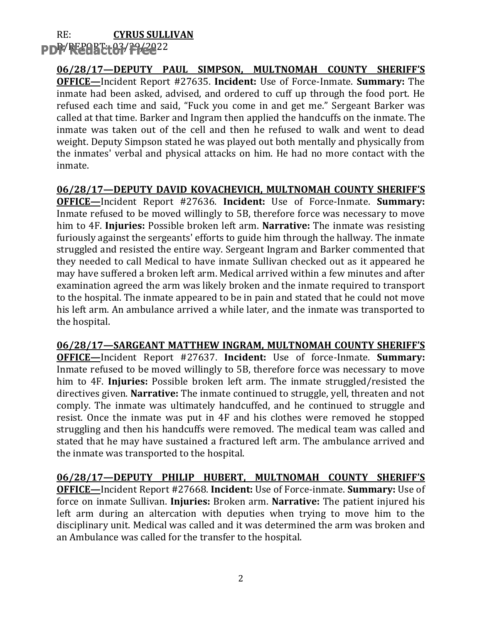#### $RE:$ **CYRUS SULLIVAN** PDF/REARE 183/29/2022

06/28/17-DEPUTY PAUL SIMPSON, MULTNOMAH COUNTY SHERIFF'S **OFFICE**-Incident Report #27635. Incident: Use of Force-Inmate. Summary: The inmate had been asked, advised, and ordered to cuff up through the food port. He refused each time and said, "Fuck you come in and get me." Sergeant Barker was called at that time. Barker and Ingram then applied the handcuffs on the inmate. The inmate was taken out of the cell and then he refused to walk and went to dead weight. Deputy Simpson stated he was played out both mentally and physically from the inmates' verbal and physical attacks on him. He had no more contact with the inmate.

06/28/17-DEPUTY DAVID KOVACHEVICH, MULTNOMAH COUNTY SHERIFF'S OFFICE-Incident Report #27636. Incident: Use of Force-Inmate. Summary: Inmate refused to be moved willingly to 5B, therefore force was necessary to move him to 4F. Injuries: Possible broken left arm. Narrative: The inmate was resisting furiously against the sergeants' efforts to guide him through the hallway. The inmate struggled and resisted the entire way. Sergeant Ingram and Barker commented that they needed to call Medical to have inmate Sullivan checked out as it appeared he may have suffered a broken left arm. Medical arrived within a few minutes and after examination agreed the arm was likely broken and the inmate required to transport to the hospital. The inmate appeared to be in pain and stated that he could not move his left arm. An ambulance arrived a while later, and the inmate was transported to the hospital.

06/28/17-SARGEANT MATTHEW INGRAM, MULTNOMAH COUNTY SHERIFF'S **OFFICE**-Incident Report #27637. Incident: Use of force-Inmate. Summary: Inmate refused to be moved willingly to 5B, therefore force was necessary to move him to 4F. Injuries: Possible broken left arm. The inmate struggled/resisted the directives given. Narrative: The inmate continued to struggle, yell, threaten and not comply. The inmate was ultimately handcuffed, and he continued to struggle and resist. Once the inmate was put in 4F and his clothes were removed he stopped struggling and then his handcuffs were removed. The medical team was called and stated that he may have sustained a fractured left arm. The ambulance arrived and the inmate was transported to the hospital.

06/28/17-DEPUTY PHILIP HUBERT, MULTNOMAH COUNTY SHERIFF'S **OFFICE**—Incident Report #27668. Incident: Use of Force-inmate. Summary: Use of force on inmate Sullivan. Injuries: Broken arm. Narrative: The patient injured his left arm during an altercation with deputies when trying to move him to the disciplinary unit. Medical was called and it was determined the arm was broken and an Ambulance was called for the transfer to the hospital.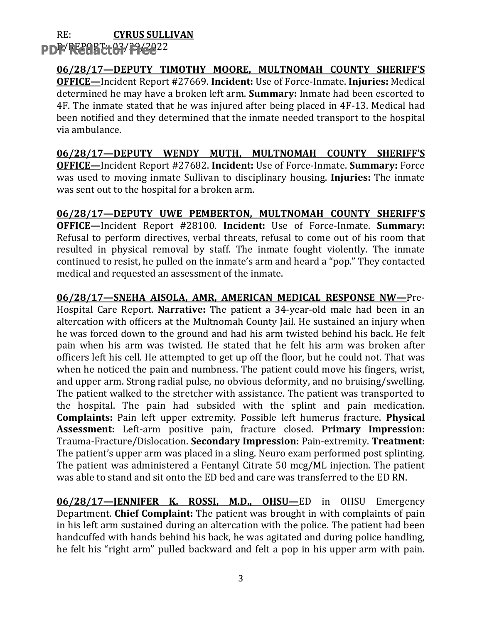#### $RE:$ **CYRUS SULLIVAN** PDF/REARE+83/29/2022

06/28/17-DEPUTY TIMOTHY MOORE, MULTNOMAH COUNTY SHERIFF'S **OFFICE**—Incident Report #27669. Incident: Use of Force-Inmate. Injuries: Medical determined he may have a broken left arm. Summary: Inmate had been escorted to 4F. The inmate stated that he was injured after being placed in 4F-13. Medical had been notified and they determined that the inmate needed transport to the hospital via ambulance.

06/28/17-DEPUTY WENDY MUTH, MULTNOMAH COUNTY SHERIFF'S **OFFICE**—Incident Report #27682. Incident: Use of Force-Inmate. Summary: Force was used to moving inmate Sullivan to disciplinary housing. Injuries: The inmate was sent out to the hospital for a broken arm.

06/28/17-DEPUTY UWE PEMBERTON, MULTNOMAH COUNTY SHERIFF'S **OFFICE**-Incident Report #28100. Incident: Use of Force-Inmate. Summary: Refusal to perform directives, verbal threats, refusal to come out of his room that resulted in physical removal by staff. The inmate fought violently. The inmate continued to resist, he pulled on the inmate's arm and heard a "pop." They contacted medical and requested an assessment of the inmate.

06/28/17-SNEHA AISOLA, AMR, AMERICAN MEDICAL RESPONSE NW-Pre-Hospital Care Report. Narrative: The patient a 34-year-old male had been in an altercation with officers at the Multnomah County Jail. He sustained an injury when he was forced down to the ground and had his arm twisted behind his back. He felt pain when his arm was twisted. He stated that he felt his arm was broken after officers left his cell. He attempted to get up off the floor, but he could not. That was when he noticed the pain and numbness. The patient could move his fingers, wrist, and upper arm. Strong radial pulse, no obvious deformity, and no bruising/swelling. The patient walked to the stretcher with assistance. The patient was transported to the hospital. The pain had subsided with the splint and pain medication. Complaints: Pain left upper extremity. Possible left humerus fracture. Physical Assessment: Left-arm positive pain, fracture closed. Primary Impression: Trauma-Fracture/Dislocation. Secondary Impression: Pain-extremity. Treatment: The patient's upper arm was placed in a sling. Neuro exam performed post splinting. The patient was administered a Fentanyl Citrate 50 mcg/ML injection. The patient was able to stand and sit onto the ED bed and care was transferred to the ED RN.

06/28/17-JENNIFER K. ROSSI, M.D., OHSU-ED in OHSU Emergency Department. Chief Complaint: The patient was brought in with complaints of pain in his left arm sustained during an altercation with the police. The patient had been handcuffed with hands behind his back, he was agitated and during police handling. he felt his "right arm" pulled backward and felt a pop in his upper arm with pain.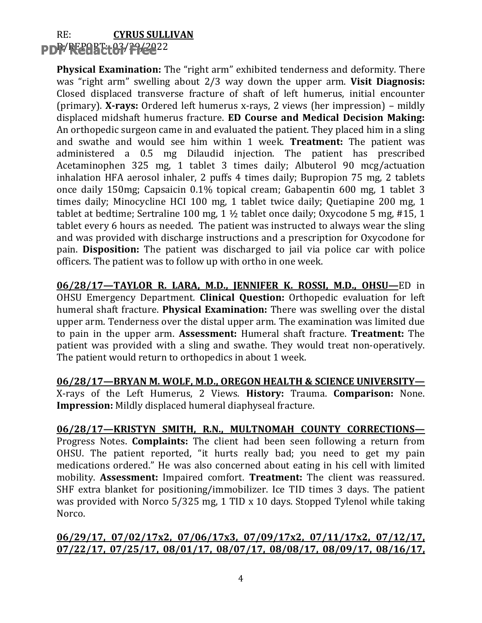### $RE:$ **CYRUS SULLIVAN PDF/FE20BTt63/F9/2022**

**Physical Examination:** The "right arm" exhibited tenderness and deformity. There was "right arm" swelling about 2/3 way down the upper arm. Visit Diagnosis: Closed displaced transverse fracture of shaft of left humerus, initial encounter (primary). X-rays: Ordered left humerus x-rays, 2 views (her impression) – mildly displaced midshaft humerus fracture. ED Course and Medical Decision Making: An orthopedic surgeon came in and evaluated the patient. They placed him in a sling and swathe and would see him within 1 week. Treatment: The patient was administered a 0.5 mg Dilaudid injection. The patient has prescribed Acetaminophen 325 mg, 1 tablet 3 times daily; Albuterol 90 mcg/actuation inhalation HFA aerosol inhaler, 2 puffs 4 times daily; Bupropion 75 mg, 2 tablets once daily 150mg; Capsaicin 0.1% topical cream; Gabapentin 600 mg, 1 tablet 3 times daily; Minocycline HCI 100 mg, 1 tablet twice daily; Quetiapine 200 mg, 1 tablet at bedtime; Sertraline 100 mg,  $1 \frac{1}{2}$  tablet once daily; Oxycodone 5 mg, #15, 1 tablet every 6 hours as needed. The patient was instructed to always wear the sling and was provided with discharge instructions and a prescription for Oxycodone for pain. Disposition: The patient was discharged to jail via police car with police officers. The patient was to follow up with ortho in one week.

06/28/17-TAYLOR R. LARA, M.D., JENNIFER K. ROSSI, M.D., OHSU-ED in OHSU Emergency Department. Clinical Question: Orthopedic evaluation for left humeral shaft fracture. Physical Examination: There was swelling over the distal upper arm. Tenderness over the distal upper arm. The examination was limited due to pain in the upper arm. Assessment: Humeral shaft fracture. Treatment: The patient was provided with a sling and swathe. They would treat non-operatively. The patient would return to orthopedics in about 1 week.

06/28/17-BRYAN M. WOLF, M.D., OREGON HEALTH & SCIENCE UNIVERSITY-X-rays of the Left Humerus, 2 Views. History: Trauma. Comparison: None. Impression: Mildly displaced humeral diaphyseal fracture.

06/28/17-KRISTYN SMITH, R.N., MULTNOMAH COUNTY CORRECTIONS-Progress Notes. Complaints: The client had been seen following a return from OHSU. The patient reported, "it hurts really bad; you need to get my pain medications ordered." He was also concerned about eating in his cell with limited mobility. Assessment: Impaired comfort. Treatment: The client was reassured. SHF extra blanket for positioning/immobilizer. Ice TID times 3 days. The patient was provided with Norco 5/325 mg, 1 TID x 10 days. Stopped Tylenol while taking Norco.

06/29/17, 07/02/17x2, 07/06/17x3, 07/09/17x2, 07/11/17x2, 07/12/17, 07/22/17, 07/25/17, 08/01/17, 08/07/17, 08/08/17, 08/09/17, 08/16/17,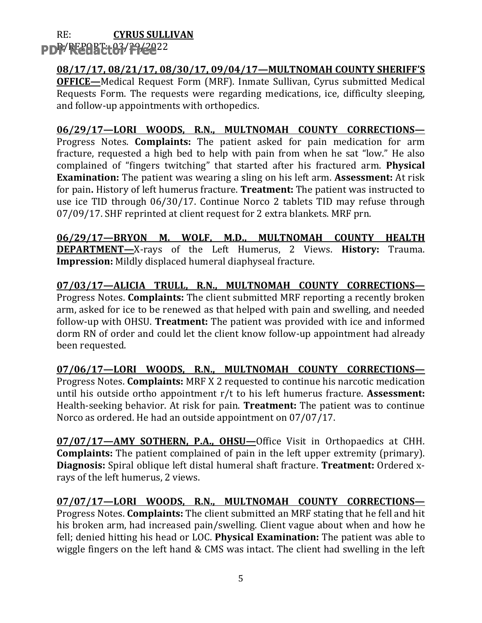#### $RE:$ **CYRUS SULLIVAN** PDF/REARE+83/29/2022

# 08/17/17, 08/21/17, 08/30/17, 09/04/17-MULTNOMAH COUNTY SHERIFF'S

**OFFICE**—Medical Request Form (MRF). Inmate Sullivan, Cyrus submitted Medical Requests Form. The requests were regarding medications, ice, difficulty sleeping, and follow-up appointments with orthopedics.

### 06/29/17-LORI WOODS, R.N., MULTNOMAH COUNTY CORRECTIONS-

Progress Notes. Complaints: The patient asked for pain medication for arm fracture, requested a high bed to help with pain from when he sat "low." He also complained of "fingers twitching" that started after his fractured arm. Physical **Examination:** The patient was wearing a sling on his left arm. **Assessment:** At risk for pain. History of left humerus fracture. Treatment: The patient was instructed to use ice TID through 06/30/17. Continue Norco 2 tablets TID may refuse through 07/09/17. SHF reprinted at client request for 2 extra blankets. MRF prn.

06/29/17-BRYON M. WOLF, M.D., MULTNOMAH COUNTY HEALTH **DEPARTMENT-X-rays** of the Left Humerus, 2 Views. **History:** Trauma. **Impression:** Mildly displaced humeral diaphyseal fracture.

07/03/17-ALICIA TRULL, R.N., MULTNOMAH COUNTY CORRECTIONS-Progress Notes. Complaints: The client submitted MRF reporting a recently broken arm, asked for ice to be renewed as that helped with pain and swelling, and needed follow-up with OHSU. Treatment: The patient was provided with ice and informed dorm RN of order and could let the client know follow-up appointment had already been requested.

07/06/17-LORI WOODS, R.N., MULTNOMAH COUNTY CORRECTIONS-Progress Notes. Complaints: MRF X 2 requested to continue his narcotic medication until his outside ortho appointment  $r/t$  to his left humerus fracture. Assessment: Health-seeking behavior. At risk for pain. Treatment: The patient was to continue Norco as ordered. He had an outside appointment on 07/07/17.

07/07/17-AMY SOTHERN, P.A., OHSU-Office Visit in Orthopaedics at CHH. **Complaints:** The patient complained of pain in the left upper extremity (primary). Diagnosis: Spiral oblique left distal humeral shaft fracture. Treatment: Ordered xravs of the left humerus. 2 views.

07/07/17-LORI WOODS, R.N., MULTNOMAH COUNTY CORRECTIONS-Progress Notes. Complaints: The client submitted an MRF stating that he fell and hit his broken arm, had increased pain/swelling. Client vague about when and how he fell; denied hitting his head or LOC. Physical Examination: The patient was able to wiggle fingers on the left hand & CMS was intact. The client had swelling in the left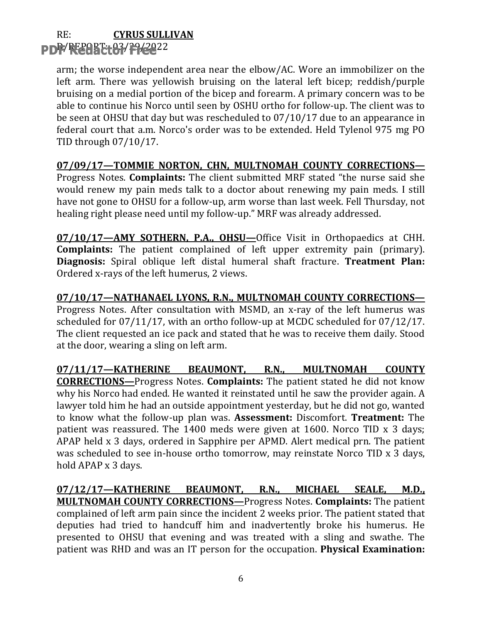#### $RE:$ **CYRUS SULLIVAN** PDF/REPART-03/29/2022

arm; the worse independent area near the elbow/AC. Wore an immobilizer on the left arm. There was yellowish bruising on the lateral left bicep; reddish/purple bruising on a medial portion of the bicep and forearm. A primary concern was to be able to continue his Norco until seen by OSHU ortho for follow-up. The client was to be seen at OHSU that day but was rescheduled to 07/10/17 due to an appearance in federal court that a.m. Norco's order was to be extended. Held Tylenol 975 mg PO TID through 07/10/17.

### 07/09/17-TOMMIE NORTON, CHN, MULTNOMAH COUNTY CORRECTIONS-

Progress Notes. Complaints: The client submitted MRF stated "the nurse said she would renew my pain meds talk to a doctor about renewing my pain meds. I still have not gone to OHSU for a follow-up, arm worse than last week. Fell Thursday, not healing right please need until my follow-up." MRF was already addressed.

07/10/17-AMY SOTHERN, P.A., OHSU-Office Visit in Orthopaedics at CHH. **Complaints:** The patient complained of left upper extremity pain (primary). Diagnosis: Spiral oblique left distal humeral shaft fracture. Treatment Plan: Ordered x-rays of the left humerus, 2 views.

07/10/17-NATHANAEL LYONS, R.N., MULTNOMAH COUNTY CORRECTIONS-Progress Notes. After consultation with MSMD, an x-ray of the left humerus was scheduled for  $07/11/17$ , with an ortho follow-up at MCDC scheduled for  $07/12/17$ . The client requested an ice pack and stated that he was to receive them daily. Stood at the door, wearing a sling on left arm.

07/11/17-KATHERINE BEAUMONT, R.N., MULTNOMAH **COUNTY CORRECTIONS—Progress Notes. Complaints:** The patient stated he did not know why his Norco had ended. He wanted it reinstated until he saw the provider again. A lawyer told him he had an outside appointment yesterday, but he did not go, wanted to know what the follow-up plan was. Assessment: Discomfort. Treatment: The patient was reassured. The 1400 meds were given at 1600. Norco TID x 3 days; APAP held x 3 days, ordered in Sapphire per APMD. Alert medical prn. The patient was scheduled to see in-house ortho tomorrow, may reinstate Norco TID x 3 days, hold APAP x 3 days.

07/12/17-KATHERINE BEAUMONT, R.N., MICHAEL SEALE, M.D., **MULTNOMAH COUNTY CORRECTIONS-Progress Notes. Complaints:** The patient complained of left arm pain since the incident 2 weeks prior. The patient stated that deputies had tried to handcuff him and inadvertently broke his humerus. He presented to OHSU that evening and was treated with a sling and swathe. The patient was RHD and was an IT person for the occupation. Physical Examination: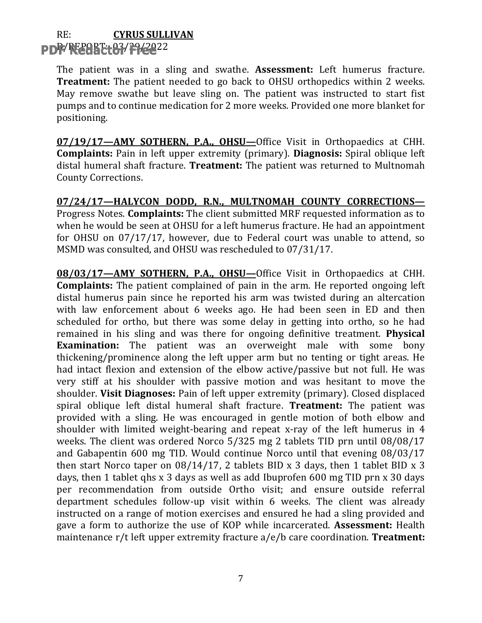#### $RE:$ **CYRUS SULLIVAN** PDF/REPART-03/29/2022

The patient was in a sling and swathe. Assessment: Left humerus fracture. **Treatment:** The patient needed to go back to OHSU orthopedics within 2 weeks. May remove swathe but leave sling on. The patient was instructed to start fist pumps and to continue medication for 2 more weeks. Provided one more blanket for positioning.

07/19/17-AMY SOTHERN, P.A., OHSU-Office Visit in Orthopaedics at CHH. **Complaints:** Pain in left upper extremity (primary). Diagnosis: Spiral oblique left distal humeral shaft fracture. Treatment: The patient was returned to Multnomah **County Corrections.** 

07/24/17-HALYCON DODD, R.N., MULTNOMAH COUNTY CORRECTIONS-Progress Notes. Complaints: The client submitted MRF requested information as to when he would be seen at OHSU for a left humerus fracture. He had an appointment for OHSU on 07/17/17, however, due to Federal court was unable to attend, so MSMD was consulted, and OHSU was rescheduled to 07/31/17.

08/03/17-AMY SOTHERN, P.A., OHSU-Office Visit in Orthopaedics at CHH. **Complaints:** The patient complained of pain in the arm. He reported ongoing left distal humerus pain since he reported his arm was twisted during an altercation with law enforcement about 6 weeks ago. He had been seen in ED and then scheduled for ortho, but there was some delay in getting into ortho, so he had remained in his sling and was there for ongoing definitive treatment. **Physical Examination:** The patient was an overweight male with some bony thickening/prominence along the left upper arm but no tenting or tight areas. He had intact flexion and extension of the elbow active/passive but not full. He was very stiff at his shoulder with passive motion and was hesitant to move the shoulder. Visit Diagnoses: Pain of left upper extremity (primary). Closed displaced spiral oblique left distal humeral shaft fracture. Treatment: The patient was provided with a sling. He was encouraged in gentle motion of both elbow and shoulder with limited weight-bearing and repeat x-ray of the left humerus in 4 weeks. The client was ordered Norco 5/325 mg 2 tablets TID prn until 08/08/17 and Gabapentin 600 mg TID. Would continue Norco until that evening 08/03/17 then start Norco taper on  $08/14/17$ , 2 tablets BID x 3 days, then 1 tablet BID x 3 days, then 1 tablet ghs x 3 days as well as add Ibuprofen 600 mg TID prn x 30 days per recommendation from outside Ortho visit; and ensure outside referral department schedules follow-up visit within 6 weeks. The client was already instructed on a range of motion exercises and ensured he had a sling provided and gave a form to authorize the use of KOP while incarcerated. Assessment: Health maintenance r/t left upper extremity fracture a/e/b care coordination. Treatment: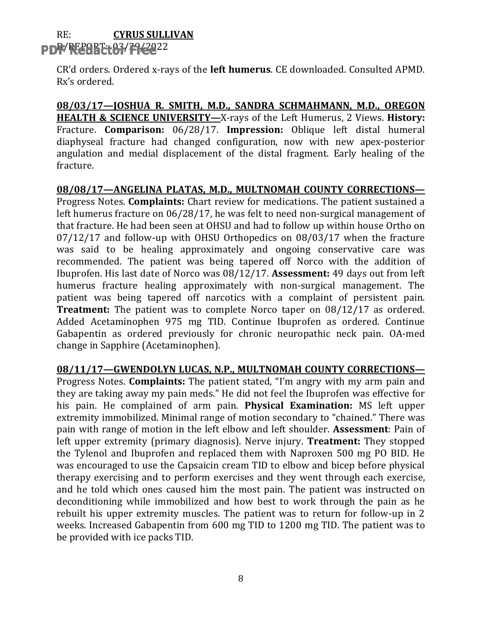#### $RE:$ **CYRUS SULLIVAN** PDF/REGEE 63/79/2022

CR'd orders. Ordered x-rays of the left humerus. CE downloaded. Consulted APMD. Rx's ordered.

08/03/17-JOSHUA R. SMITH, M.D., SANDRA SCHMAHMANN, M.D., OREGON **HEALTH & SCIENCE UNIVERSITY—X-rays of the Left Humerus, 2 Views. History:** Fracture. Comparison: 06/28/17. Impression: Oblique left distal humeral diaphyseal fracture had changed configuration, now with new apex-posterior angulation and medial displacement of the distal fragment. Early healing of the fracture.

08/08/17-ANGELINA PLATAS, M.D., MULTNOMAH COUNTY CORRECTIONS-Progress Notes. Complaints: Chart review for medications. The patient sustained a left humerus fracture on 06/28/17, he was felt to need non-surgical management of that fracture. He had been seen at OHSU and had to follow up within house Ortho on  $07/12/17$  and follow-up with OHSU Orthopedics on  $08/03/17$  when the fracture was said to be healing approximately and ongoing conservative care was recommended. The patient was being tapered off Norco with the addition of Ibuprofen. His last date of Norco was 08/12/17. Assessment: 49 days out from left humerus fracture healing approximately with non-surgical management. The patient was being tapered off narcotics with a complaint of persistent pain. **Treatment:** The patient was to complete Norco taper on 08/12/17 as ordered. Added Acetaminophen 975 mg TID. Continue Ibuprofen as ordered. Continue Gabapentin as ordered previously for chronic neuropathic neck pain. OA-med change in Sapphire (Acetaminophen).

08/11/17-GWENDOLYN LUCAS, N.P., MULTNOMAH COUNTY CORRECTIONS-

Progress Notes. Complaints: The patient stated, "I'm angry with my arm pain and they are taking away my pain meds." He did not feel the Ibuprofen was effective for his pain. He complained of arm pain. Physical Examination: MS left upper extremity immobilized. Minimal range of motion secondary to "chained." There was pain with range of motion in the left elbow and left shoulder. Assessment: Pain of left upper extremity (primary diagnosis). Nerve injury. **Treatment:** They stopped the Tylenol and Ibuprofen and replaced them with Naproxen 500 mg PO BID. He was encouraged to use the Capsaicin cream TID to elbow and bicep before physical therapy exercising and to perform exercises and they went through each exercise, and he told which ones caused him the most pain. The patient was instructed on deconditioning while immobilized and how best to work through the pain as he rebuilt his upper extremity muscles. The patient was to return for follow-up in 2 weeks. Increased Gabapentin from 600 mg TID to 1200 mg TID. The patient was to be provided with ice packs TID.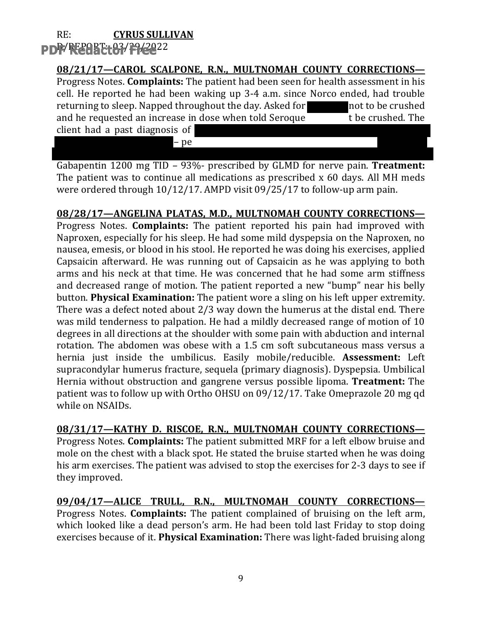#### $RE:$ **CYRUS SULLIVAN** PDF/REARE 183/29/2022

### 08/21/17-CAROL SCALPONE, R.N., MULTNOMAH COUNTY CORRECTIONS-

Progress Notes. Complaints: The patient had been seen for health assessment in his cell. He reported he had been waking up 3-4 a.m. since Norco ended, had trouble returning to sleep. Napped throughout the day. Asked for not to be crushed and he requested an increase in dose when told Seroque t be crushed. The

client had a past diagnosis of

- pe

Gabapentin 1200 mg TID - 93%- prescribed by GLMD for nerve pain. Treatment: The patient was to continue all medications as prescribed x 60 days. All MH meds were ordered through  $10/12/17$ . AMPD visit  $09/25/17$  to follow-up arm pain.

### 08/28/17-ANGELINA PLATAS, M.D., MULTNOMAH COUNTY CORRECTIONS-

Progress Notes. Complaints: The patient reported his pain had improved with Naproxen, especially for his sleep. He had some mild dyspepsia on the Naproxen, no nausea, emesis, or blood in his stool. He reported he was doing his exercises, applied Capsaicin afterward. He was running out of Capsaicin as he was applying to both arms and his neck at that time. He was concerned that he had some arm stiffness and decreased range of motion. The patient reported a new "bump" near his belly button. Physical Examination: The patient wore a sling on his left upper extremity. There was a defect noted about 2/3 way down the humerus at the distal end. There was mild tenderness to palpation. He had a mildly decreased range of motion of 10 degrees in all directions at the shoulder with some pain with abduction and internal rotation. The abdomen was obese with a 1.5 cm soft subcutaneous mass versus a hernia just inside the umbilicus. Easily mobile/reducible. Assessment: Left supracondylar humerus fracture, sequela (primary diagnosis). Dyspepsia. Umbilical Hernia without obstruction and gangrene versus possible lipoma. **Treatment:** The patient was to follow up with Ortho OHSU on 09/12/17. Take Omeprazole 20 mg qd while on NSAIDs.

08/31/17-KATHY D. RISCOE, R.N., MULTNOMAH COUNTY CORRECTIONS-

Progress Notes. Complaints: The patient submitted MRF for a left elbow bruise and mole on the chest with a black spot. He stated the bruise started when he was doing his arm exercises. The patient was advised to stop the exercises for 2-3 days to see if they improved.

09/04/17-ALICE TRULL, R.N., MULTNOMAH COUNTY CORRECTIONS-Progress Notes. Complaints: The patient complained of bruising on the left arm, which looked like a dead person's arm. He had been told last Friday to stop doing exercises because of it. Physical Examination: There was light-faded bruising along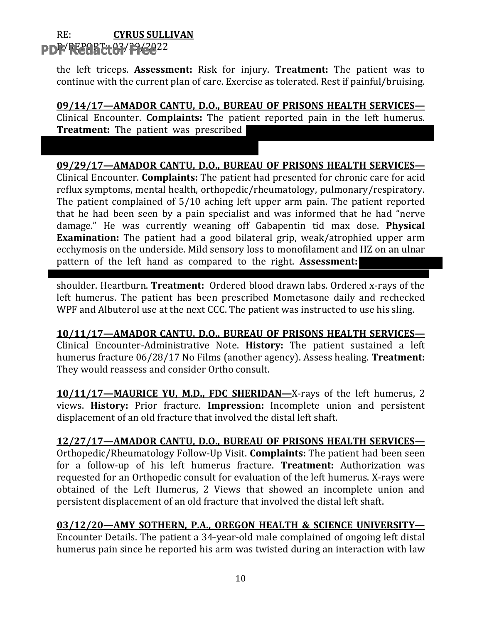#### $RE:$ **CYRUS SULLIVAN PDF RESORT 63/29/222**

the left triceps. Assessment: Risk for injury. Treatment: The patient was to continue with the current plan of care. Exercise as tolerated. Rest if painful/bruising.

09/14/17-AMADOR CANTU, D.O., BUREAU OF PRISONS HEALTH SERVICES-Clinical Encounter. Complaints: The patient reported pain in the left humerus. **Treatment:** The patient was prescribed

### 09/29/17-AMADOR CANTU, D.O., BUREAU OF PRISONS HEALTH SERVICES-

Clinical Encounter. Complaints: The patient had presented for chronic care for acid reflux symptoms, mental health, orthopedic/rheumatology, pulmonary/respiratory. The patient complained of 5/10 aching left upper arm pain. The patient reported that he had been seen by a pain specialist and was informed that he had "nerve damage." He was currently weaning off Gabapentin tid max dose. **Physical Examination:** The patient had a good bilateral grip, weak/atrophied upper arm ecchymosis on the underside. Mild sensory loss to monofilament and HZ on an ulnar pattern of the left hand as compared to the right. Assessment:

shoulder. Heartburn. Treatment: Ordered blood drawn labs. Ordered x-rays of the left humerus. The patient has been prescribed Mometasone daily and rechecked WPF and Albuterol use at the next CCC. The patient was instructed to use his sling.

10/11/17-AMADOR CANTU, D.O., BUREAU OF PRISONS HEALTH SERVICES-Clinical Encounter-Administrative Note. History: The patient sustained a left humerus fracture 06/28/17 No Films (another agency). Assess healing. Treatment: They would reassess and consider Ortho consult.

10/11/17-MAURICE YU, M.D., FDC SHERIDAN-X-rays of the left humerus, 2 views. History: Prior fracture. Impression: Incomplete union and persistent displacement of an old fracture that involved the distal left shaft.

### 12/27/17-AMADOR CANTU, D.O., BUREAU OF PRISONS HEALTH SERVICES-

Orthopedic/Rheumatology Follow-Up Visit. Complaints: The patient had been seen for a follow-up of his left humerus fracture. Treatment: Authorization was requested for an Orthopedic consult for evaluation of the left humerus. X-rays were obtained of the Left Humerus, 2 Views that showed an incomplete union and persistent displacement of an old fracture that involved the distal left shaft.

### 03/12/20-AMY SOTHERN, P.A., OREGON HEALTH & SCIENCE UNIVERSITY-

Encounter Details. The patient a 34-year-old male complained of ongoing left distal humerus pain since he reported his arm was twisted during an interaction with law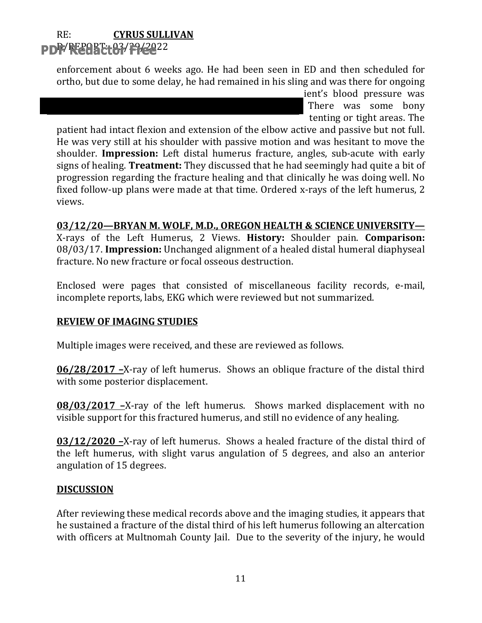#### $RE:$ **CYRUS SULLIVAN** PDF/REGACt07/F1/2022

enforcement about 6 weeks ago. He had been seen in ED and then scheduled for ortho, but due to some delay, he had remained in his sling and was there for ongoing

> ient's blood pressure was There was some bony tenting or tight areas. The

patient had intact flexion and extension of the elbow active and passive but not full. He was very still at his shoulder with passive motion and was hesitant to move the shoulder. Impression: Left distal humerus fracture, angles, sub-acute with early signs of healing. **Treatment:** They discussed that he had seemingly had quite a bit of progression regarding the fracture healing and that clinically he was doing well. No fixed follow-up plans were made at that time. Ordered x-rays of the left humerus, 2 views.

03/12/20-BRYAN M. WOLF, M.D., OREGON HEALTH & SCIENCE UNIVERSITY-X-rays of the Left Humerus, 2 Views. History: Shoulder pain. Comparison: 08/03/17. Impression: Unchanged alignment of a healed distal humeral diaphyseal fracture. No new fracture or focal osseous destruction.

Enclosed were pages that consisted of miscellaneous facility records, e-mail, incomplete reports, labs, EKG which were reviewed but not summarized.

### **REVIEW OF IMAGING STUDIES**

Multiple images were received, and these are reviewed as follows.

06/28/2017 -X-ray of left humerus. Shows an oblique fracture of the distal third with some posterior displacement.

08/03/2017 -X-ray of the left humerus. Shows marked displacement with no visible support for this fractured humerus, and still no evidence of any healing.

03/12/2020 -X-ray of left humerus. Shows a healed fracture of the distal third of the left humerus, with slight varus angulation of 5 degrees, and also an anterior angulation of 15 degrees.

### **DISCUSSION**

After reviewing these medical records above and the imaging studies, it appears that he sustained a fracture of the distal third of his left humerus following an altercation with officers at Multnomah County Jail. Due to the severity of the injury, he would